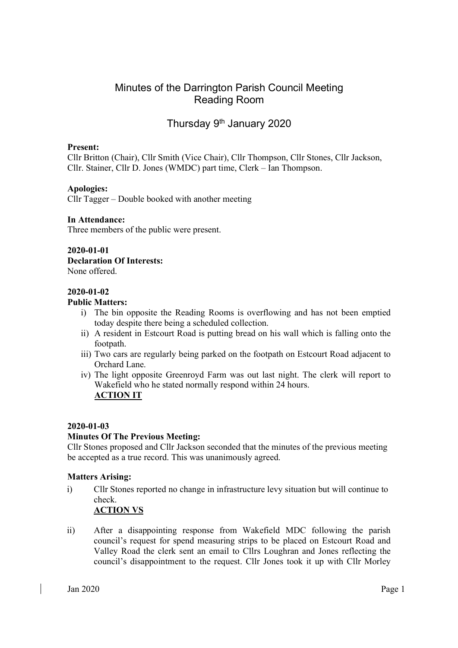# Minutes of the Darrington Parish Council Meeting Reading Room

# Thursday 9<sup>th</sup> January 2020

### Present:

Cllr Britton (Chair), Cllr Smith (Vice Chair), Cllr Thompson, Cllr Stones, Cllr Jackson, Cllr. Stainer, Cllr D. Jones (WMDC) part time, Clerk – Ian Thompson.

## Apologies:

Cllr Tagger – Double booked with another meeting

### In Attendance:

Three members of the public were present.

# 2020-01-01

Declaration Of Interests:

None offered.

### 2020-01-02

### Public Matters:

- i) The bin opposite the Reading Rooms is overflowing and has not been emptied today despite there being a scheduled collection.
- ii) A resident in Estcourt Road is putting bread on his wall which is falling onto the footpath.
- iii) Two cars are regularly being parked on the footpath on Estcourt Road adjacent to Orchard Lane.
- iv) The light opposite Greenroyd Farm was out last night. The clerk will report to Wakefield who he stated normally respond within 24 hours. ACTION IT

## 2020-01-03

## Minutes Of The Previous Meeting:

Cllr Stones proposed and Cllr Jackson seconded that the minutes of the previous meeting be accepted as a true record. This was unanimously agreed.

### Matters Arising:

- i) Cllr Stones reported no change in infrastructure levy situation but will continue to check. ACTION VS
- ii) After a disappointing response from Wakefield MDC following the parish council's request for spend measuring strips to be placed on Estcourt Road and Valley Road the clerk sent an email to Cllrs Loughran and Jones reflecting the council's disappointment to the request. Cllr Jones took it up with Cllr Morley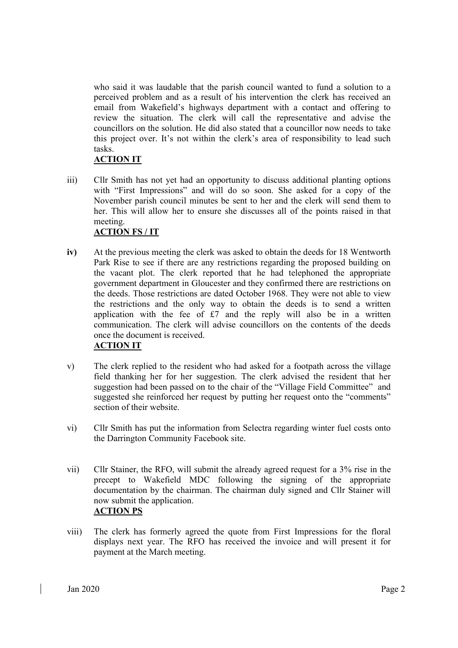who said it was laudable that the parish council wanted to fund a solution to a perceived problem and as a result of his intervention the clerk has received an email from Wakefield's highways department with a contact and offering to review the situation. The clerk will call the representative and advise the councillors on the solution. He did also stated that a councillor now needs to take this project over. It's not within the clerk's area of responsibility to lead such tasks.

# ACTION IT

iii) Cllr Smith has not yet had an opportunity to discuss additional planting options with "First Impressions" and will do so soon. She asked for a copy of the November parish council minutes be sent to her and the clerk will send them to her. This will allow her to ensure she discusses all of the points raised in that meeting.

# ACTION FS / IT

- iv) At the previous meeting the clerk was asked to obtain the deeds for 18 Wentworth Park Rise to see if there are any restrictions regarding the proposed building on the vacant plot. The clerk reported that he had telephoned the appropriate government department in Gloucester and they confirmed there are restrictions on the deeds. Those restrictions are dated October 1968. They were not able to view the restrictions and the only way to obtain the deeds is to send a written application with the fee of  $£7$  and the reply will also be in a written communication. The clerk will advise councillors on the contents of the deeds once the document is received. ACTION IT
- v) The clerk replied to the resident who had asked for a footpath across the village field thanking her for her suggestion. The clerk advised the resident that her suggestion had been passed on to the chair of the "Village Field Committee" and suggested she reinforced her request by putting her request onto the "comments" section of their website.
- vi) Cllr Smith has put the information from Selectra regarding winter fuel costs onto the Darrington Community Facebook site.
- vii) Cllr Stainer, the RFO, will submit the already agreed request for a 3% rise in the precept to Wakefield MDC following the signing of the appropriate documentation by the chairman. The chairman duly signed and Cllr Stainer will now submit the application. ACTION PS
- viii) The clerk has formerly agreed the quote from First Impressions for the floral displays next year. The RFO has received the invoice and will present it for payment at the March meeting.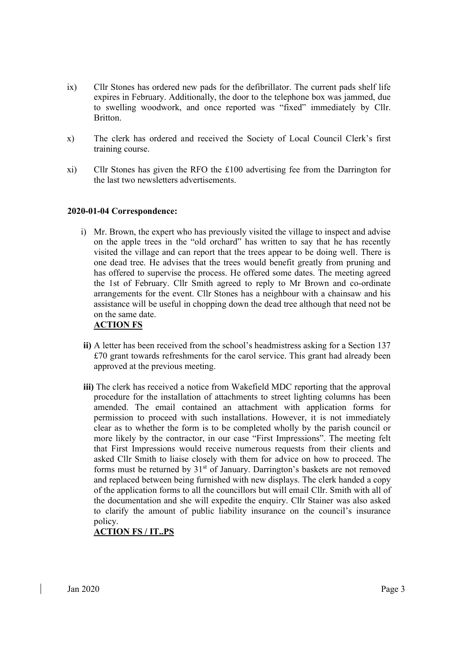- ix) Cllr Stones has ordered new pads for the defibrillator. The current pads shelf life expires in February. Additionally, the door to the telephone box was jammed, due to swelling woodwork, and once reported was "fixed" immediately by Cllr. Britton.
- x) The clerk has ordered and received the Society of Local Council Clerk's first training course.
- xi) Cllr Stones has given the RFO the £100 advertising fee from the Darrington for the last two newsletters advertisements.

## 2020-01-04 Correspondence:

i) Mr. Brown, the expert who has previously visited the village to inspect and advise on the apple trees in the "old orchard" has written to say that he has recently visited the village and can report that the trees appear to be doing well. There is one dead tree. He advises that the trees would benefit greatly from pruning and has offered to supervise the process. He offered some dates. The meeting agreed the 1st of February. Cllr Smith agreed to reply to Mr Brown and co-ordinate arrangements for the event. Cllr Stones has a neighbour with a chainsaw and his assistance will be useful in chopping down the dead tree although that need not be on the same date.

### ACTION FS

- ii) A letter has been received from the school's headmistress asking for a Section 137 £70 grant towards refreshments for the carol service. This grant had already been approved at the previous meeting.
- iii) The clerk has received a notice from Wakefield MDC reporting that the approval procedure for the installation of attachments to street lighting columns has been amended. The email contained an attachment with application forms for permission to proceed with such installations. However, it is not immediately clear as to whether the form is to be completed wholly by the parish council or more likely by the contractor, in our case "First Impressions". The meeting felt that First Impressions would receive numerous requests from their clients and asked Cllr Smith to liaise closely with them for advice on how to proceed. The forms must be returned by  $31<sup>st</sup>$  of January. Darrington's baskets are not removed and replaced between being furnished with new displays. The clerk handed a copy of the application forms to all the councillors but will email Cllr. Smith with all of the documentation and she will expedite the enquiry. Cllr Stainer was also asked to clarify the amount of public liability insurance on the council's insurance policy.

# ACTION FS / IT..PS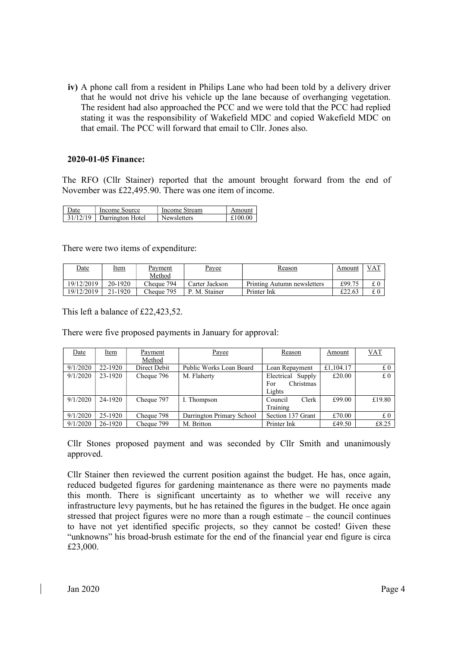iv) A phone call from a resident in Philips Lane who had been told by a delivery driver that he would not drive his vehicle up the lane because of overhanging vegetation. The resident had also approached the PCC and we were told that the PCC had replied stating it was the responsibility of Wakefield MDC and copied Wakefield MDC on that email. The PCC will forward that email to Cllr. Jones also.

### 2020-01-05 Finance:

The RFO (Cllr Stainer) reported that the amount brought forward from the end of November was £22,495.90. There was one item of income.

| Date     | Income Source    | Income Stream      | Amount  |
|----------|------------------|--------------------|---------|
| 31/12/19 | Darrington Hotel | <b>Newsletters</b> | £100.00 |

There were two items of expenditure:

| Date       | Item      | Pavment    | <u>Payee</u>   | Reason                      | Amount | VAT |
|------------|-----------|------------|----------------|-----------------------------|--------|-----|
|            |           | Method     |                |                             |        |     |
| 19/12/2019 | 20-1920   | Cheque 794 | Carter Jackson | Printing Autumn newsletters | £99.75 |     |
| 19/12/2019 | $21-1920$ | Cheque 795 | P. M. Stainer  | Printer Ink                 | £22.63 |     |

This left a balance of £22,423,52.

There were five proposed payments in January for approval:

| Date     | <b>Item</b> | Payment      | Payee                     | Reason            | Amount    | $VAT$  |
|----------|-------------|--------------|---------------------------|-------------------|-----------|--------|
|          |             | Method       |                           |                   |           |        |
| 9/1/2020 | 22-1920     | Direct Debit | Public Works Loan Board   | Loan Repayment    | £1,104.17 | £0     |
| 9/1/2020 | 23-1920     | Cheque 796   | M. Flaherty               | Electrical Supply | £20.00    | £O     |
|          |             |              |                           | Christmas<br>For  |           |        |
|          |             |              |                           | Lights            |           |        |
| 9/1/2020 | 24-1920     | Cheque 797   | I. Thompson               | Clerk<br>Council  | £99.00    | £19.80 |
|          |             |              |                           | Training          |           |        |
| 9/1/2020 | 25-1920     | Cheque 798   | Darrington Primary School | Section 137 Grant | £70.00    | £0     |
| 9/1/2020 | 26-1920     | Cheque 799   | M. Britton                | Printer Ink       | £49.50    | £8.25  |

Cllr Stones proposed payment and was seconded by Cllr Smith and unanimously approved.

Cllr Stainer then reviewed the current position against the budget. He has, once again, reduced budgeted figures for gardening maintenance as there were no payments made this month. There is significant uncertainty as to whether we will receive any infrastructure levy payments, but he has retained the figures in the budget. He once again stressed that project figures were no more than a rough estimate – the council continues to have not yet identified specific projects, so they cannot be costed! Given these "unknowns" his broad-brush estimate for the end of the financial year end figure is circa £23,000.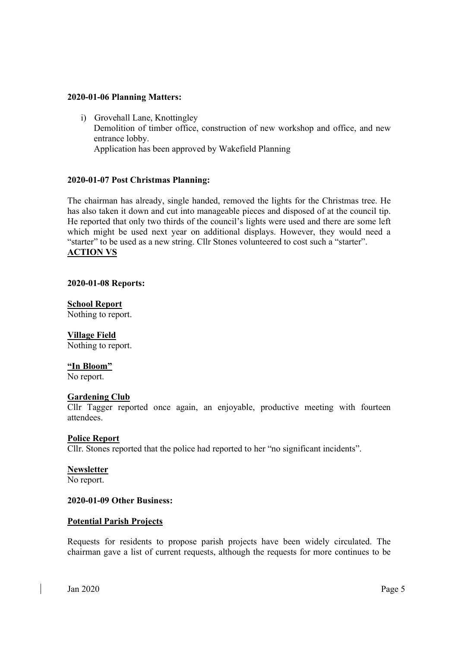### 2020-01-06 Planning Matters:

i) Grovehall Lane, Knottingley Demolition of timber office, construction of new workshop and office, and new entrance lobby. Application has been approved by Wakefield Planning

### 2020-01-07 Post Christmas Planning:

The chairman has already, single handed, removed the lights for the Christmas tree. He has also taken it down and cut into manageable pieces and disposed of at the council tip. He reported that only two thirds of the council's lights were used and there are some left which might be used next year on additional displays. However, they would need a "starter" to be used as a new string. Cllr Stones volunteered to cost such a "starter". ACTION VS

### 2020-01-08 Reports:

# School Report

Nothing to report.

### Village Field

Nothing to report.

### "In Bloom"

No report.

### **Gardening Club**

Cllr Tagger reported once again, an enjoyable, productive meeting with fourteen attendees.

### Police Report

Cllr. Stones reported that the police had reported to her "no significant incidents".

### **Newsletter**

No report.

# 2020-01-09 Other Business:

### Potential Parish Projects

Requests for residents to propose parish projects have been widely circulated. The chairman gave a list of current requests, although the requests for more continues to be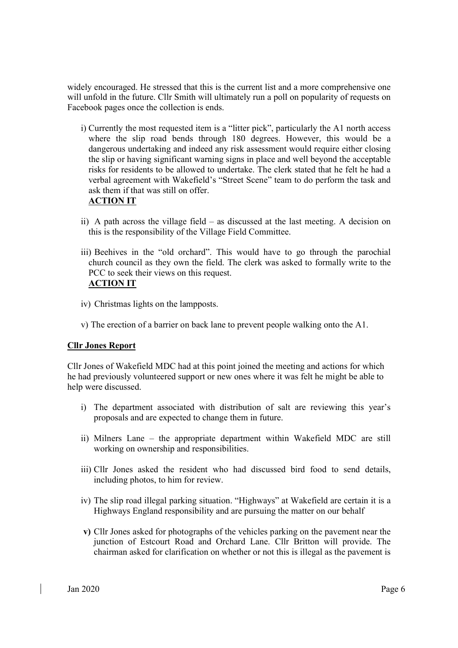widely encouraged. He stressed that this is the current list and a more comprehensive one will unfold in the future. Cllr Smith will ultimately run a poll on popularity of requests on Facebook pages once the collection is ends.

- i) Currently the most requested item is a "litter pick", particularly the A1 north access where the slip road bends through 180 degrees. However, this would be a dangerous undertaking and indeed any risk assessment would require either closing the slip or having significant warning signs in place and well beyond the acceptable risks for residents to be allowed to undertake. The clerk stated that he felt he had a verbal agreement with Wakefield's "Street Scene" team to do perform the task and ask them if that was still on offer.
	- ACTION IT
- ii) A path across the village field as discussed at the last meeting. A decision on this is the responsibility of the Village Field Committee.
- iii) Beehives in the "old orchard". This would have to go through the parochial church council as they own the field. The clerk was asked to formally write to the PCC to seek their views on this request. ACTION IT
- iv) Christmas lights on the lampposts.
- v) The erection of a barrier on back lane to prevent people walking onto the A1.

## Cllr Jones Report

Cllr Jones of Wakefield MDC had at this point joined the meeting and actions for which he had previously volunteered support or new ones where it was felt he might be able to help were discussed.

- i) The department associated with distribution of salt are reviewing this year's proposals and are expected to change them in future.
- ii) Milners Lane the appropriate department within Wakefield MDC are still working on ownership and responsibilities.
- iii) Cllr Jones asked the resident who had discussed bird food to send details, including photos, to him for review.
- iv) The slip road illegal parking situation. "Highways" at Wakefield are certain it is a Highways England responsibility and are pursuing the matter on our behalf
- v) Cllr Jones asked for photographs of the vehicles parking on the pavement near the junction of Estcourt Road and Orchard Lane. Cllr Britton will provide. The chairman asked for clarification on whether or not this is illegal as the pavement is